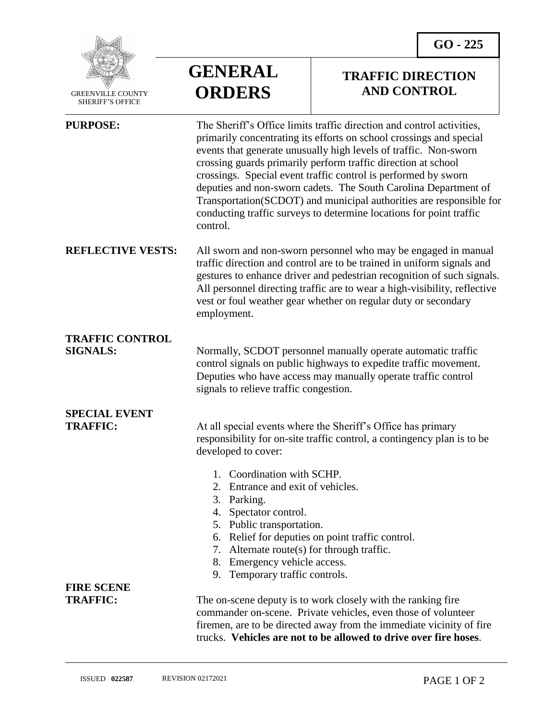

 GREENVILLE COUNTY SHERIFF'S OFFICE

## **GENERAL ORDERS**

## **TRAFFIC DIRECTION AND CONTROL**

| <b>PURPOSE:</b>                           | The Sheriff's Office limits traffic direction and control activities,<br>primarily concentrating its efforts on school crossings and special<br>events that generate unusually high levels of traffic. Non-sworn<br>crossing guards primarily perform traffic direction at school<br>crossings. Special event traffic control is performed by sworn<br>deputies and non-sworn cadets. The South Carolina Department of<br>Transportation(SCDOT) and municipal authorities are responsible for<br>conducting traffic surveys to determine locations for point traffic<br>control. |
|-------------------------------------------|----------------------------------------------------------------------------------------------------------------------------------------------------------------------------------------------------------------------------------------------------------------------------------------------------------------------------------------------------------------------------------------------------------------------------------------------------------------------------------------------------------------------------------------------------------------------------------|
| <b>REFLECTIVE VESTS:</b>                  | All sworn and non-sworn personnel who may be engaged in manual<br>traffic direction and control are to be trained in uniform signals and<br>gestures to enhance driver and pedestrian recognition of such signals.<br>All personnel directing traffic are to wear a high-visibility, reflective<br>vest or foul weather gear whether on regular duty or secondary<br>employment.                                                                                                                                                                                                 |
| <b>TRAFFIC CONTROL</b><br><b>SIGNALS:</b> | Normally, SCDOT personnel manually operate automatic traffic<br>control signals on public highways to expedite traffic movement.<br>Deputies who have access may manually operate traffic control<br>signals to relieve traffic congestion.                                                                                                                                                                                                                                                                                                                                      |
| <b>SPECIAL EVENT</b><br><b>TRAFFIC:</b>   | At all special events where the Sheriff's Office has primary<br>responsibility for on-site traffic control, a contingency plan is to be<br>developed to cover:                                                                                                                                                                                                                                                                                                                                                                                                                   |
|                                           | Coordination with SCHP.<br>1.<br>Entrance and exit of vehicles.<br>2.<br>Parking.<br>3.<br>4.<br>Spectator control.<br>5. Public transportation.<br>Relief for deputies on point traffic control.<br>6.<br>7. Alternate route(s) for through traffic.<br>Emergency vehicle access.<br>8.<br>Temporary traffic controls.<br>9.                                                                                                                                                                                                                                                    |
| <b>FIRE SCENE</b><br><b>TRAFFIC:</b>      | The on-scene deputy is to work closely with the ranking fire<br>commander on-scene. Private vehicles, even those of volunteer<br>firemen, are to be directed away from the immediate vicinity of fire<br>trucks. Vehicles are not to be allowed to drive over fire hoses.                                                                                                                                                                                                                                                                                                        |